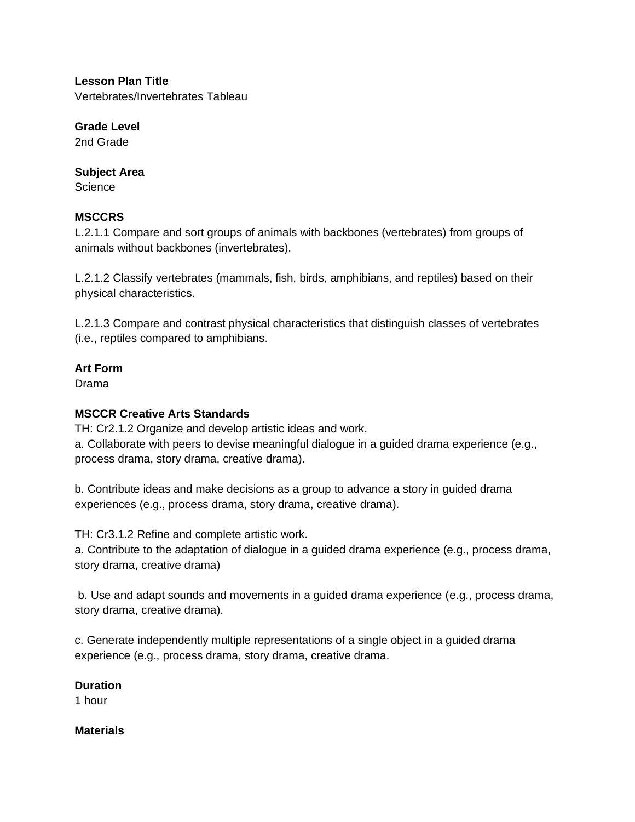**Lesson Plan Title** Vertebrates/Invertebrates Tableau

**Grade Level** 2nd Grade

### **Subject Area**

**Science** 

# **MSCCRS**

L.2.1.1 Compare and sort groups of animals with backbones (vertebrates) from groups of animals without backbones (invertebrates).

L.2.1.2 Classify vertebrates (mammals, fish, birds, amphibians, and reptiles) based on their physical characteristics.

L.2.1.3 Compare and contrast physical characteristics that distinguish classes of vertebrates (i.e., reptiles compared to amphibians.

# **Art Form**

Drama

# **MSCCR Creative Arts Standards**

TH: Cr2.1.2 Organize and develop artistic ideas and work. a. Collaborate with peers to devise meaningful dialogue in a guided drama experience (e.g., process drama, story drama, creative drama).

b. Contribute ideas and make decisions as a group to advance a story in guided drama experiences (e.g., process drama, story drama, creative drama).

TH: Cr3.1.2 Refine and complete artistic work.

a. Contribute to the adaptation of dialogue in a guided drama experience (e.g., process drama, story drama, creative drama)

b. Use and adapt sounds and movements in a guided drama experience (e.g., process drama, story drama, creative drama).

c. Generate independently multiple representations of a single object in a guided drama experience (e.g., process drama, story drama, creative drama.

### **Duration**

1 hour

# **Materials**